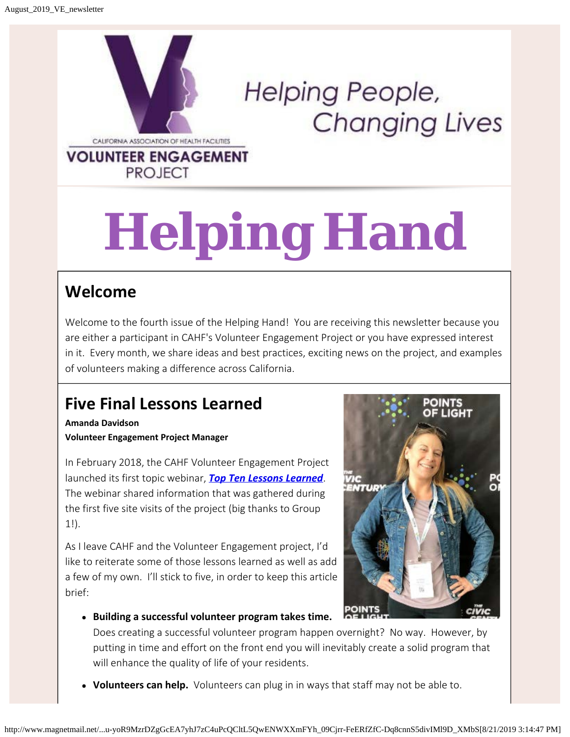

**PROJECT** 

**Helping People, Changing Lives** 

# **Helping Hand**

### **Welcome**

Welcome to the fourth issue of the Helping Hand! You are receiving this newsletter because you are either a participant in CAHF's Volunteer Engagement Project or you have expressed interest in it. Every month, we share ideas and best practices, exciting news on the project, and examples of volunteers making a difference across California.

## **Five Final Lessons Learned**

**Amanda Davidson Volunteer Engagement Project Manager**

In February 2018, the CAHF Volunteer Engagement Project launched its first topic webinar, *[Top Ten Lessons Learned](http://send.cahf.org/link.cfm?r=C1fdtcQUOg4gzsqvGc9UiA~~&pe=RKNtMtEaYM-bKFTqXX3a_wvhapmGwDvWWqtNtpkJ0xCKqAP-dN3Pj7C-PG-9D29sMVqYoIM7rIUIXFZd8ie-rg~~&t=INSERT_TRACKING_ENCID)*. The webinar shared information that was gathered during the first five site visits of the project (big thanks to Group 1!).

As I leave CAHF and the Volunteer Engagement project, I'd like to reiterate some of those lessons learned as well as add a few of my own. I'll stick to five, in order to keep this article brief:



**Building a successful volunteer program takes time.**

Does creating a successful volunteer program happen overnight? No way. However, by putting in time and effort on the front end you will inevitably create a solid program that will enhance the quality of life of your residents.

**Volunteers can help.** Volunteers can plug in in ways that staff may not be able to.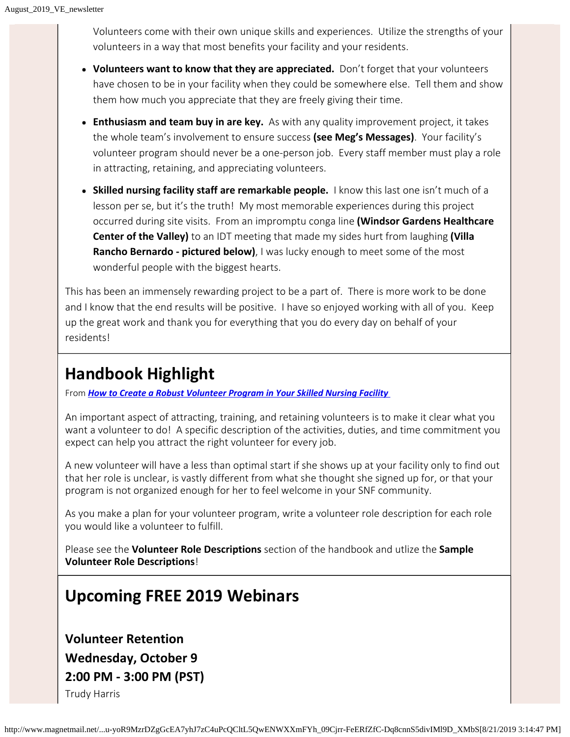Volunteers come with their own unique skills and experiences. Utilize the strengths of your volunteers in a way that most benefits your facility and your residents.

- **Volunteers want to know that they are appreciated.** Don't forget that your volunteers have chosen to be in your facility when they could be somewhere else. Tell them and show them how much you appreciate that they are freely giving their time.
- **Enthusiasm and team buy in are key.** As with any quality improvement project, it takes the whole team's involvement to ensure success **(see Meg's Messages)**. Your facility's volunteer program should never be a one-person job. Every staff member must play a role in attracting, retaining, and appreciating volunteers.
- **Skilled nursing facility staff are remarkable people.** I know this last one isn't much of a lesson per se, but it's the truth! My most memorable experiences during this project occurred during site visits. From an impromptu conga line **(Windsor Gardens Healthcare Center of the Valley)** to an IDT meeting that made my sides hurt from laughing **(Villa Rancho Bernardo - pictured below)**, I was lucky enough to meet some of the most wonderful people with the biggest hearts.

This has been an immensely rewarding project to be a part of. There is more work to be done and I know that the end results will be positive. I have so enjoyed working with all of you. Keep up the great work and thank you for everything that you do every day on behalf of your residents!

#### **Handbook Highlight**

From *[How to Create a Robust Volunteer Program in Your Skilled Nursing Facility](http://send.cahf.org/link.cfm?r=C1fdtcQUOg4gzsqvGc9UiA~~&pe=XAN6d2ziHKV-aicIL3K7OB6TCMgWbTgUO2MUr2ir8Y5BXERm4CtgGprnIxPlBmh55MmvuLfUKbNyPJhGCNAcgA~~&t=INSERT_TRACKING_ENCID)*

An important aspect of attracting, training, and retaining volunteers is to make it clear what you want a volunteer to do! A specific description of the activities, duties, and time commitment you expect can help you attract the right volunteer for every job.

A new volunteer will have a less than optimal start if she shows up at your facility only to find out that her role is unclear, is vastly different from what she thought she signed up for, or that your program is not organized enough for her to feel welcome in your SNF community.

As you make a plan for your volunteer program, write a volunteer role description for each role you would like a volunteer to fulfill.

Please see the **Volunteer Role Descriptions** section of the handbook and utlize the **Sample Volunteer Role Descriptions**!

#### **Upcoming FREE 2019 Webinars**

**Volunteer Retention Wednesday, October 9 2:00 PM - 3:00 PM (PST)** Trudy Harris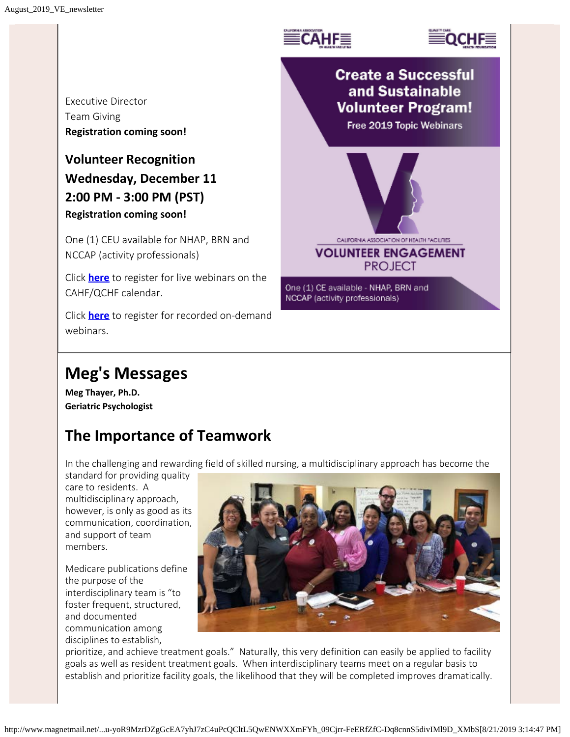



Executive Director Team Giving **Registration coming soon!**

#### **Volunteer Recognition Wednesday, December 11 2:00 PM - 3:00 PM (PST) Registration coming soon!**

One (1) CEU available for NHAP, BRN and NCCAP (activity professionals)

Click **[here](http://send.cahf.org/link.cfm?r=C1fdtcQUOg4gzsqvGc9UiA~~&pe=Oq7NH4pxYjI_Hc38VurGHwji-jL3hhbRSzTB_NHn_6CPAcPAJk_04P7Iz_UU2xfa66NAGJA6UpekBBe5wpLhqQ~~&t=INSERT_TRACKING_ENCID)** to register for live webinars on the CAHF/QCHF calendar.

Click **[here](http://send.cahf.org/link.cfm?r=C1fdtcQUOg4gzsqvGc9UiA~~&pe=yMBzt4WJ0-EWnDB2poL9nymZ134HeUxStl7P5Yb6lBc9dHOqojMBQB-aOQJj8qI9e8hoZsta_IZxWbWLEmiVLQ~~&t=INSERT_TRACKING_ENCID)** to register for recorded on-demand webinars.

# **Meg's Messages**

**Meg Thayer, Ph.D. Geriatric Psychologist**

#### **The Importance of Teamwork**

In the challenging and rewarding field of skilled nursing, a multidisciplinary approach has become the

standard for providing quality care to residents. A multidisciplinary approach, however, is only as good as its communication, coordination, and support of team members.

Medicare publications define the purpose of the interdisciplinary team is "to foster frequent, structured, and documented communication among disciplines to establish,



prioritize, and achieve treatment goals." Naturally, this very definition can easily be applied to facility goals as well as resident treatment goals. When interdisciplinary teams meet on a regular basis to establish and prioritize facility goals, the likelihood that they will be completed improves dramatically.